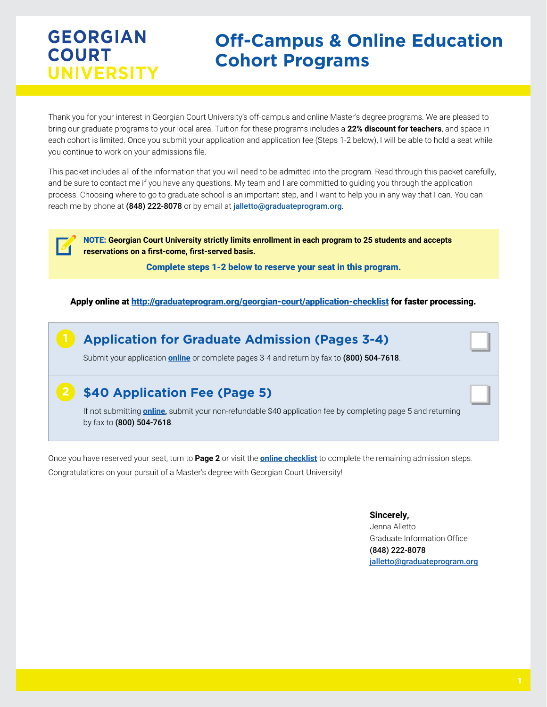by fax to (800) 504-7618.

# **Off-Campus & Online Education Cohort Programs**

Thank you for your interest in Georgian Court University's off-campus and online Master's degree programs. We are pleased to bring our graduate programs to your local area. Tuition for these programs includes a **22% discount for teachers**, and space in each cohort is limited. Once you submit your application and application fee (Steps 1-2 below), I will be able to hold a seat while you continue to work on your admissions file.

This packet includes all of the information that you will need to be admitted into the program. Read through this packet carefully, and be sure to contact me if you have any questions. My team and I are committed to guiding you through the application process. Choosing where to go to graduate school is an important step, and I want to help you in any way that I can. You can reach me by phone at (848) 222-8078 or by email at [jalletto@graduateprogram.org](mailto:jalletto%40graduateprogram.org?subject=).

NOTE: **Georgian Court University strictly limits enrollment in each program to 25 students and accepts reservations on a first-come, first-served basis.** 

Complete steps 1-2 below to reserve your seat in this program.

#### Apply online at<http://graduateprogram.org/georgian-court/application-checklist> for faster processing.

**Application for Graduate Admission (Pages 3-4)** Submit your application **[online](http://www.graduateprogram.org/georgian-court/application-checklist)** or complete pages 3-4 and return by fax to (800) 504-7618. **\$40 Application Fee (Page 5)** If not submitting **[online](http://www.graduateprogram.org/georgian-court/application-checklist)**, submit your non-refundable \$40 application fee by completing page 5 and returning **2**

Once you have reserved your seat, turn to **Page 2** or visit the **[online checklist](http://www.graduateprogram.org/georgian-court/application-checklist)** to complete the remaining admission steps. Congratulations on your pursuit of a Master's degree with Georgian Court University!

#### **Sincerely,**

Jenna Alletto Graduate Information Office (848) 222-8078 [jalletto@graduateprogram.org](mailto:jalletto%40graduateprogram.org?subject=)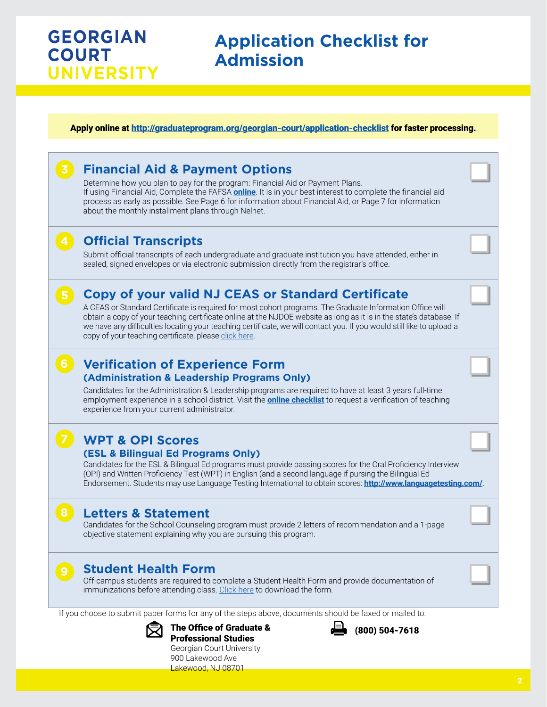# **Application Checklist for Admission**

#### Apply online at<http://graduateprogram.org/georgian-court/application-checklist> for faster processing.

## **Financial Aid & Payment Options**

Determine how you plan to pay for the program: Financial Aid or Payment Plans. If using Financial Aid, Complete the FAFSA **[online](http://www.graduateprogram.org/georgian-court/application-checklist)**. It is in your best interest to complete the financial aid process as early as possible. See Page 6 for information about Financial Aid, or Page 7 for information about the monthly installment plans through Nelnet.

## **Official Transcripts**

Submit official transcripts of each undergraduate and graduate institution you have attended, either in sealed, signed envelopes or via electronic submission directly from the registrar's office.

## **Copy of your valid NJ CEAS or Standard Certificate**

A CEAS or Standard Certificate is required for most cohort programs. The Graduate Information Office will obtain a copy of your teaching certificate online at the NJDOE website as long as it is in the state's database. If we have any difficulties locating your teaching certificate, we will contact you. If you would still like to upload a copy of your teaching certificate, please [click here.](https://www.appforms.net/form/GCUTeachCertUpload/index.html)

## **Verification of Experience Form 6**

#### **(Administration & Leadership Programs Only)**

Candidates for the Administration & Leadership programs are required to have at least 3 years full-time employment experience in a school district. Visit the **[online checklist](http://www.graduateprogram.org/georgian-court/application-checklist)** to request a verification of teaching experience from your current administrator.

## **WPT & OPI Scores**

### **(ESL & Bilingual Ed Programs Only)**

Candidates for the ESL & Bilingual Ed programs must provide passing scores for the Oral Proficiency Interview (OPI) and Written Proficiency Test (WPT) in English (and a second language if pursing the Bilingual Ed Endorsement. Students may use Language Testing International to obtain scores: **<http://www.languagetesting.com/>**.

## **Letters & Statement**

**8**

Candidates for the School Counseling program must provide 2 letters of recommendation and a 1-page objective statement explaining why you are pursuing this program.

## **Student Health Form**

Off-campus students are required to complete a Student Health Form and provide documentation of immunizations before attending class. [Click here](https://www.graduateprogram.org//georgian-court/wp-content/uploads/sites/9/2019/03/student-health-form.pdf) to download the form.

If you choose to submit paper forms for any of the steps above, documents should be faxed or mailed to:



The Office of Graduate & Professional Studies



(800) 504-7618

Georgian Court University 900 Lakewood Ave Lakewood, NJ 08701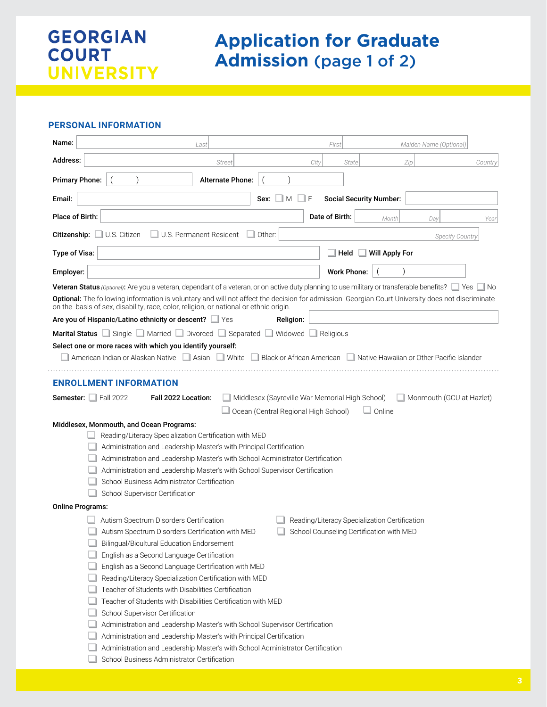# **Application for Graduate Admission** (page 1 of 2)

#### **PERSONAL INFORMATION**

| Name:<br>Last                                                                                                                                                                                                                             | Maiden Name (Optional)<br>First               |
|-------------------------------------------------------------------------------------------------------------------------------------------------------------------------------------------------------------------------------------------|-----------------------------------------------|
| Address:<br><b>Street</b><br>City                                                                                                                                                                                                         | Zip<br>State<br>Country                       |
| <b>Primary Phone:</b><br><b>Alternate Phone:</b>                                                                                                                                                                                          |                                               |
| Email:<br>Sex:<br>M<br>F                                                                                                                                                                                                                  | <b>Social Security Number:</b>                |
| Place of Birth:                                                                                                                                                                                                                           | Date of Birth:<br>Month<br>Day<br>Year        |
| U.S. Citizen<br>Citizenship:<br>U.S. Permanent Resident<br>Other:                                                                                                                                                                         | <b>Specify Country</b>                        |
| Type of Visa:                                                                                                                                                                                                                             | Will Apply For<br>Held                        |
| Employer:                                                                                                                                                                                                                                 | <b>Work Phone:</b>                            |
| Veteran Status (Optional): Are you a veteran, dependant of a veteran, or on active duty planning to use military or transferable benefits?                                                                                                | No.                                           |
| Optional: The following information is voluntary and will not affect the decision for admission. Georgian Court University does not discriminate<br>on the basis of sex, disability, race, color, religion, or national or ethnic origin. |                                               |
| Are you of Hispanic/Latino ethnicity or descent?<br>Religion:<br>$\Box$ Yes                                                                                                                                                               |                                               |
| Marital Status Single Narried Divorced Separated Widowed                                                                                                                                                                                  | Religious                                     |
| Select one or more races with which you identify yourself:                                                                                                                                                                                |                                               |
| American Indian or Alaskan Native Asian<br>$\Box$ White<br>Black or African American                                                                                                                                                      | Native Hawaiian or Other Pacific Islander     |
|                                                                                                                                                                                                                                           |                                               |
| <b>ENROLLMENT INFORMATION</b>                                                                                                                                                                                                             |                                               |
| <b>Semester:</b> $\Box$ Fall 2022<br>Fall 2022 Location:<br>Middlesex (Sayreville War Memorial High School)                                                                                                                               | Monmouth (GCU at Hazlet)                      |
| Ocean (Central Regional High School)                                                                                                                                                                                                      | $\Box$ Online                                 |
| Middlesex, Monmouth, and Ocean Programs:                                                                                                                                                                                                  |                                               |
| Reading/Literacy Specialization Certification with MED                                                                                                                                                                                    |                                               |
| Administration and Leadership Master's with Principal Certification                                                                                                                                                                       |                                               |
| Administration and Leadership Master's with School Administrator Certification                                                                                                                                                            |                                               |
| Administration and Leadership Master's with School Supervisor Certification                                                                                                                                                               |                                               |
| School Business Administrator Certification                                                                                                                                                                                               |                                               |
| School Supervisor Certification                                                                                                                                                                                                           |                                               |
| <b>Online Programs:</b>                                                                                                                                                                                                                   |                                               |
| Autism Spectrum Disorders Certification                                                                                                                                                                                                   | Reading/Literacy Specialization Certification |
| Autism Spectrum Disorders Certification with MED                                                                                                                                                                                          | School Counseling Certification with MED      |
| Bilingual/Bicultural Education Endorsement                                                                                                                                                                                                |                                               |
| English as a Second Language Certification                                                                                                                                                                                                |                                               |
| English as a Second Language Certification with MED                                                                                                                                                                                       |                                               |
| Reading/Literacy Specialization Certification with MED                                                                                                                                                                                    |                                               |
| Teacher of Students with Disabilities Certification                                                                                                                                                                                       |                                               |
| Teacher of Students with Disabilities Certification with MED                                                                                                                                                                              |                                               |
| School Supervisor Certification                                                                                                                                                                                                           |                                               |
| Administration and Leadership Master's with School Supervisor Certification                                                                                                                                                               |                                               |
| Administration and Leadership Master's with Principal Certification                                                                                                                                                                       |                                               |
| Administration and Leadership Master's with School Administrator Certification                                                                                                                                                            |                                               |
| School Business Administrator Certification                                                                                                                                                                                               |                                               |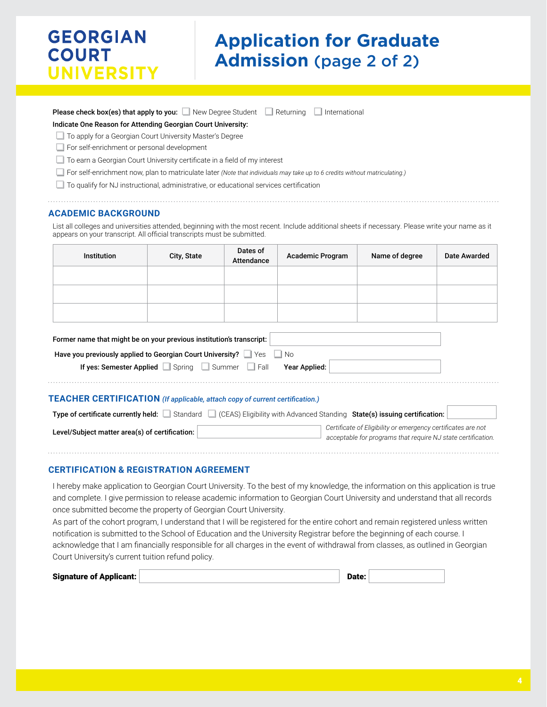# **Application for Graduate Admission** (page 2 of 2)

| <b>Please check box(es) that apply to you:</b> $\Box$ New Degree Student $\Box$ Returning $\Box$ International |  |  |  |
|----------------------------------------------------------------------------------------------------------------|--|--|--|
|----------------------------------------------------------------------------------------------------------------|--|--|--|

#### Indicate One Reason for Attending Georgian Court University:

To apply for a Georgian Court University Master's Degree

For self-enrichment or personal development

 $\Box$  To earn a Georgian Court University certificate in a field of my interest

For self-enrichment now, plan to matriculate later *(Note that individuals may take up to 6 credits without matriculating.)*

To qualify for NJ instructional, administrative, or educational services certification

#### **ACADEMIC BACKGROUND**

List all colleges and universities attended, beginning with the most recent. Include additional sheets if necessary. Please write your name as it appears on your transcript. All official transcripts must be submitted.

|                                                                      | Institution | City, State | Dates of<br><b>Attendance</b> | <b>Academic Program</b> | Name of degree | Date Awarded |  |
|----------------------------------------------------------------------|-------------|-------------|-------------------------------|-------------------------|----------------|--------------|--|
|                                                                      |             |             |                               |                         |                |              |  |
|                                                                      |             |             |                               |                         |                |              |  |
|                                                                      |             |             |                               |                         |                |              |  |
| Former name that might be on your previous institution's transcript: |             |             |                               |                         |                |              |  |

| Have you previously applied to Georgian Court University? Ves No |  |  |
|------------------------------------------------------------------|--|--|
| If yes: Semester Applied Spring Summer Fall Year Applied:        |  |  |

#### **TEACHER CERTIFICATION** *(If applicable, attach copy of current certification.)*

| Type of certificate currently held:            | Standard (CEAS) Eligibility with Advanced Standing State(s) issuing certification:                                           |
|------------------------------------------------|------------------------------------------------------------------------------------------------------------------------------|
| Level/Subject matter area(s) of certification: | Certificate of Eligibility or emergency certificates are not<br>acceptable for programs that require NJ state certification. |
|                                                |                                                                                                                              |

#### **CERTIFICATION & REGISTRATION AGREEMENT**

I hereby make application to Georgian Court University. To the best of my knowledge, the information on this application is true and complete. I give permission to release academic information to Georgian Court University and understand that all records once submitted become the property of Georgian Court University.

As part of the cohort program, I understand that I will be registered for the entire cohort and remain registered unless written notification is submitted to the School of Education and the University Registrar before the beginning of each course. I acknowledge that I am financially responsible for all charges in the event of withdrawal from classes, as outlined in Georgian Court University's current tuition refund policy.

| <b>Signature of Applicant:</b> |  | Date: |  |
|--------------------------------|--|-------|--|
|--------------------------------|--|-------|--|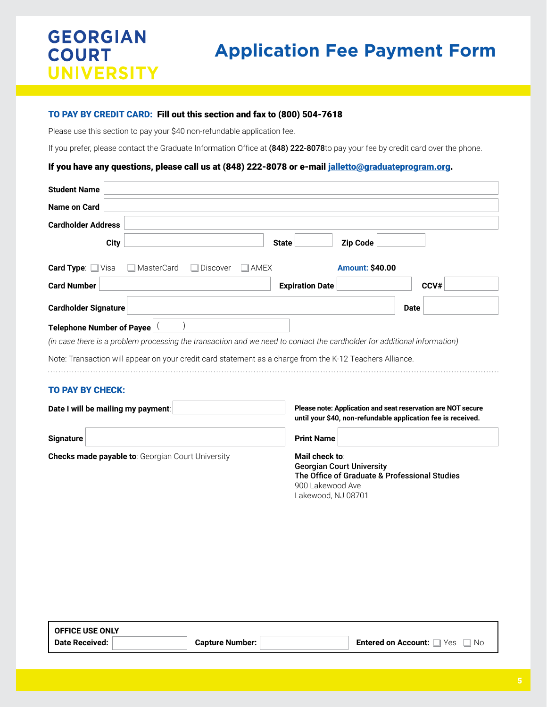# **Application Fee Payment Form**

#### TO PAY BY CREDIT CARD: Fill out this section and fax to (800) 504-7618

Please use this section to pay your \$40 non-refundable application fee.

If you prefer, please contact the Graduate Information Office at (848) 222-8078to pay your fee by credit card over the phone.

#### If you have any questions, please call us at (848) 222-8078 or e-mail [jalletto@graduateprogram.org](mailto:jalletto%40graduateprogram.org?subject=).

| <b>Student Name</b>                                                                                                                                                                                                                                               |                                                                                                                                               |             |
|-------------------------------------------------------------------------------------------------------------------------------------------------------------------------------------------------------------------------------------------------------------------|-----------------------------------------------------------------------------------------------------------------------------------------------|-------------|
| <b>Name on Card</b>                                                                                                                                                                                                                                               |                                                                                                                                               |             |
| <b>Cardholder Address</b>                                                                                                                                                                                                                                         |                                                                                                                                               |             |
| City                                                                                                                                                                                                                                                              | <b>Zip Code</b><br><b>State</b>                                                                                                               |             |
| Card Type: Visa<br>MasterCard<br><b>Discover</b><br><b>AMEX</b>                                                                                                                                                                                                   | <b>Amount: \$40.00</b>                                                                                                                        |             |
| <b>Card Number</b>                                                                                                                                                                                                                                                | <b>Expiration Date</b>                                                                                                                        | CCV#        |
| <b>Cardholder Signature</b>                                                                                                                                                                                                                                       |                                                                                                                                               | <b>Date</b> |
| Telephone Number of Payee<br>(in case there is a problem processing the transaction and we need to contact the cardholder for additional information)<br>Note: Transaction will appear on your credit card statement as a charge from the K-12 Teachers Alliance. |                                                                                                                                               |             |
| <b>TO PAY BY CHECK:</b>                                                                                                                                                                                                                                           |                                                                                                                                               |             |
| Date I will be mailing my payment:                                                                                                                                                                                                                                | Please note: Application and seat reservation are NOT secure<br>until your \$40, non-refundable application fee is received.                  |             |
| <b>Signature</b>                                                                                                                                                                                                                                                  | <b>Print Name</b>                                                                                                                             |             |
| <b>Checks made payable to: Georgian Court University</b>                                                                                                                                                                                                          | Mail check to:<br><b>Georgian Court University</b><br>The Office of Graduate & Professional Studies<br>900 Lakewood Ave<br>Lakewood, NJ 08701 |             |

| <b>OFFICE USE ONLY</b> |                        |                                          |
|------------------------|------------------------|------------------------------------------|
| <b>Date Received:</b>  | <b>Capture Number:</b> | ™ Yes ⊥<br>Entered on Account: □<br>® No |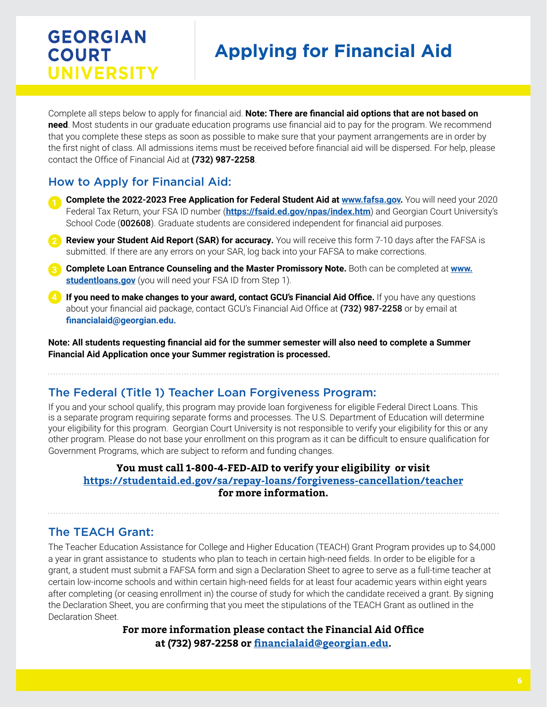# **Applying for Financial Aid**

Complete all steps below to apply for financial aid. **Note: There are financial aid options that are not based on need**. Most students in our graduate education programs use financial aid to pay for the program. We recommend that you complete these steps as soon as possible to make sure that your payment arrangements are in order by the first night of class. All admissions items must be received before financial aid will be dispersed. For help, please contact the Office of Financial Aid at **(732) 987-2258**.

## How to Apply for Financial Aid:

- **Complete the 2022-2023 Free Application for Federal Student Aid at www.fafsa.gov.** You will need your 2020 Federal Tax Return, your FSA ID number (**https://fsaid.ed.gov/npas/index.htm**) and Georgian Court University's School Code (002608). Graduate students are considered independent for financial aid purposes.
- **Review your Student Aid Report (SAR) for accuracy.** You will receive this form 7-10 days after the FAFSA is **2** submitted. If there are any errors on your SAR, log back into your FAFSA to make corrections.
- **Complete Loan Entrance Counseling and the Master Promissory Note.** Both can be completed at **www. 3 studentloans.gov** (you will need your FSA ID from Step 1).
- **If you need to make changes to your award, contact GCU's Financial Aid Office.** If you have any questions **4**about your financial aid package, contact GCU's Financial Aid Office at (732) 987-2258 or by email at **financialaid@georgian.edu.**

**Note: All students requesting financial aid for the summer semester will also need to complete a Summer Financial Aid Application once your Summer registration is processed.** 

## The Federal (Title 1) Teacher Loan Forgiveness Program:

If you and your school qualify, this program may provide loan forgiveness for eligible Federal Direct Loans. This is a separate program requiring separate forms and processes. The U.S. Department of Education will determine your eligibility for this program. Georgian Court University is not responsible to verify your eligibility for this or any other program. Please do not base your enrollment on this program as it can be difficult to ensure qualification for Government Programs, which are subject to reform and funding changes.

### **You must call 1-800-4-FED-AID to verify your eligibility or visit https://studentaid.ed.gov/sa/repay-loans/forgiveness-cancellation/teacher for more information.**

### The TEACH Grant:

The Teacher Education Assistance for College and Higher Education (TEACH) Grant Program provides up to \$4,000 a year in grant assistance to students who plan to teach in certain high-need fields. In order to be eligible for a grant, a student must submit a FAFSA form and sign a Declaration Sheet to agree to serve as a full-time teacher at certain low-income schools and within certain high-need fields for at least four academic years within eight years after completing (or ceasing enrollment in) the course of study for which the candidate received a grant. By signing the Declaration Sheet, you are confirming that you meet the stipulations of the TEACH Grant as outlined in the Declaration Sheet.

> **For more information please contact the Financial Aid Office at (732) 987-2258 or financialaid@georgian.edu.**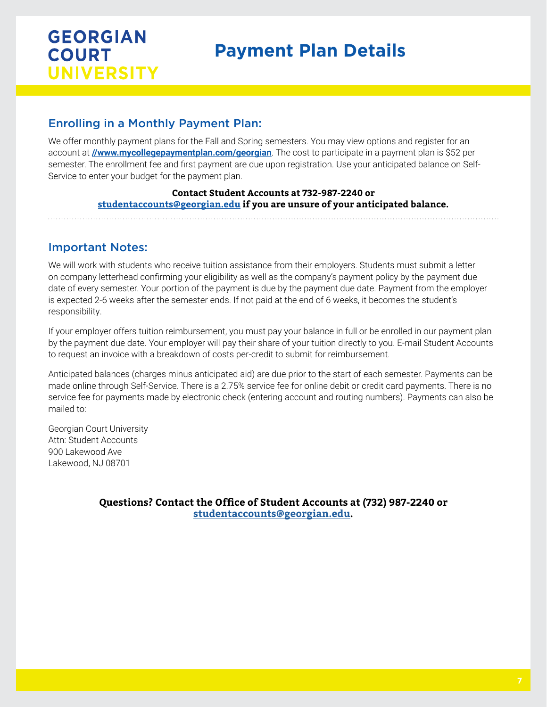# **Payment Plan Details**

## Enrolling in a Monthly Payment Plan:

We offer monthly payment plans for the Fall and Spring semesters. You may view options and register for an account at **[//www.mycollegepaymentplan.com/georgian](http:////www.mycollegepaymentplan.com/georgian)**. The cost to participate in a payment plan is \$52 per semester. The enrollment fee and first payment are due upon registration. Use your anticipated balance on Self-Service to enter your budget for the payment plan.

### **Contact Student Accounts at 732-987-2240 or [studentaccounts@georgian.edu](mailto:studentaccounts%40georgian.edu?subject=) if you are unsure of your anticipated balance.**

### Important Notes:

We will work with students who receive tuition assistance from their employers. Students must submit a letter on company letterhead confirming your eligibility as well as the company's payment policy by the payment due date of every semester. Your portion of the payment is due by the payment due date. Payment from the employer is expected 2-6 weeks after the semester ends. If not paid at the end of 6 weeks, it becomes the student's responsibility.

If your employer offers tuition reimbursement, you must pay your balance in full or be enrolled in our payment plan by the payment due date. Your employer will pay their share of your tuition directly to you. E-mail Student Accounts to request an invoice with a breakdown of costs per-credit to submit for reimbursement.

Anticipated balances (charges minus anticipated aid) are due prior to the start of each semester. Payments can be made online through Self-Service. There is a 2.75% service fee for online debit or credit card payments. There is no service fee for payments made by electronic check (entering account and routing numbers). Payments can also be mailed to:

Georgian Court University Attn: Student Accounts 900 Lakewood Ave Lakewood, NJ 08701

> **Questions? Contact the Office of Student Accounts at (732) 987-2240 or [studentaccounts@georgian.edu](mailto:studentaccounts%40georgian.edu?subject=).**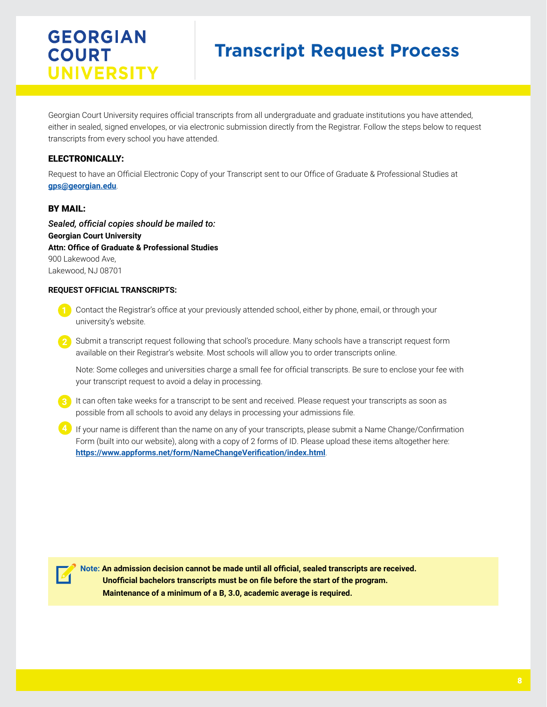# **Transcript Request Process**

Georgian Court University requires official transcripts from all undergraduate and graduate institutions you have attended, either in sealed, signed envelopes, or via electronic submission directly from the Registrar. Follow the steps below to request transcripts from every school you have attended.

### ELECTRONICALLY:

Request to have an Official Electronic Copy of your Transcript sent to our Office of Graduate & Professional Studies at **[gps@georgian.edu](mailto:gps%40georgian.edu?subject=)**.

#### BY MAIL:

*Sealed, official copies should be mailed to:*  **Georgian Court University Attn: Office of Graduate & Professional Studies** 900 Lakewood Ave, Lakewood, NJ 08701

#### **REQUEST OFFICIAL TRANSCRIPTS:**

- **1** Contact the Registrar's office at your previously attended school, either by phone, email, or through your university's website.
- **2** Submit a transcript request following that school's procedure. Many schools have a transcript request form available on their Registrar's website. Most schools will allow you to order transcripts online.

Note: Some colleges and universities charge a small fee for official transcripts. Be sure to enclose your fee with your transcript request to avoid a delay in processing.

- **3** It can often take weeks for a transcript to be sent and received. Please request your transcripts as soon as possible from all schools to avoid any delays in processing your admissions file.
- 4) If your name is different than the name on any of your transcripts, please submit a Name Change/Confirmation Form (built into our website), along with a copy of 2 forms of ID. Please upload these items altogether here: **<https://www.appforms.net/form/NameChangeVerification/index.html>**.



**Note: An admission decision cannot be made until all official, sealed transcripts are received. Unofficial bachelors transcripts must be on file before the start of the program. Maintenance of a minimum of a B, 3.0, academic average is required.**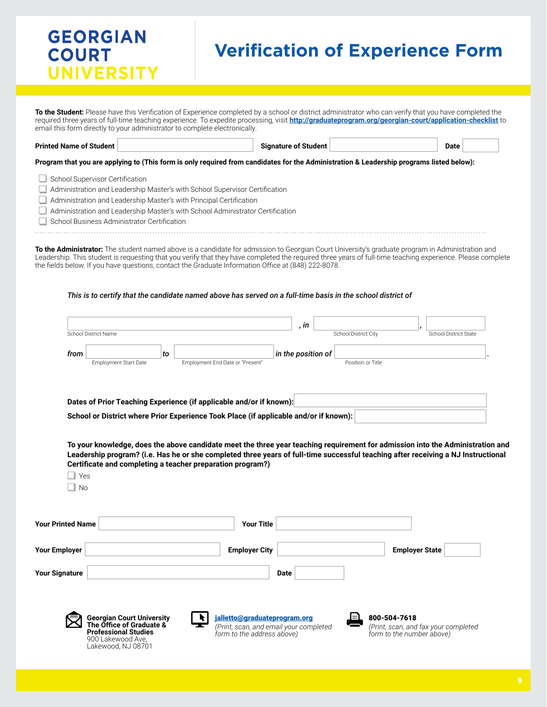# **Verification of Experience Form**

**To the Student:** Please have this Verification of Experience completed by a school or district administrator who can verify that you have completed the required three years of full-time teaching experience. To expedite processing, visit **<http://graduateprogram.org/georgian-court/application-checklist>** to email this form directly to your administrator to complete electronically.

**Printed Name of Student Signature of Student Date**

**Program that you are applying to (This form is only required from candidates for the Administration & Leadership programs listed below):**

- School Supervisor Certification
- **Administration and Leadership Master's with School Supervisor Certification**
- Administration and Leadership Master's with Principal Certification
- п Administration and Leadership Master's with School Administrator Certification
- School Business Administrator Certification

**To the Administrator:** The student named above is a candidate for admission to Georgian Court University's graduate program in Administration and Leadership. This student is requesting that you verify that they have completed the required three years of full-time teaching experience. Please complete the fields below. If you have questions, contact the Graduate Information Office at (848) 222-8078.

#### *This is to certify that the candidate named above has served on a full-time basis in the school district of*

|                          | School District Name                                                                                                                                                                                                                                                |    |                                                            |                              |             |                    | School District City |                   |              | <b>School District State</b> |  |
|--------------------------|---------------------------------------------------------------------------------------------------------------------------------------------------------------------------------------------------------------------------------------------------------------------|----|------------------------------------------------------------|------------------------------|-------------|--------------------|----------------------|-------------------|--------------|------------------------------|--|
| from                     | <b>Employment Start Date</b>                                                                                                                                                                                                                                        | to | Employment End Date or "Present"                           |                              |             | in the position of |                      | Position or Title |              |                              |  |
|                          |                                                                                                                                                                                                                                                                     |    |                                                            |                              |             |                    |                      |                   |              |                              |  |
|                          | Dates of Prior Teaching Experience (if applicable and/or if known):                                                                                                                                                                                                 |    |                                                            |                              |             |                    |                      |                   |              |                              |  |
|                          | School or District where Prior Experience Took Place (if applicable and/or if known):                                                                                                                                                                               |    |                                                            |                              |             |                    |                      |                   |              |                              |  |
|                          |                                                                                                                                                                                                                                                                     |    |                                                            |                              |             |                    |                      |                   |              |                              |  |
|                          | To your knowledge, does the above candidate meet the three year teaching requirement for admission into the Administration and<br>Leadership program? (i.e. Has he or she completed three years of full-time successful teaching after receiving a NJ Instructional |    |                                                            |                              |             |                    |                      |                   |              |                              |  |
|                          |                                                                                                                                                                                                                                                                     |    |                                                            |                              |             |                    |                      |                   |              |                              |  |
|                          |                                                                                                                                                                                                                                                                     |    | Certificate and completing a teacher preparation program?) |                              |             |                    |                      |                   |              |                              |  |
| Yes                      |                                                                                                                                                                                                                                                                     |    |                                                            |                              |             |                    |                      |                   |              |                              |  |
| No                       |                                                                                                                                                                                                                                                                     |    |                                                            |                              |             |                    |                      |                   |              |                              |  |
|                          |                                                                                                                                                                                                                                                                     |    |                                                            |                              |             |                    |                      |                   |              |                              |  |
| <b>Your Printed Name</b> |                                                                                                                                                                                                                                                                     |    |                                                            | <b>Your Title</b>            |             |                    |                      |                   |              |                              |  |
| <b>Your Employer</b>     |                                                                                                                                                                                                                                                                     |    |                                                            | <b>Employer City</b>         |             |                    |                      |                   |              | <b>Employer State</b>        |  |
| <b>Your Signature</b>    |                                                                                                                                                                                                                                                                     |    |                                                            |                              | <b>Date</b> |                    |                      |                   |              |                              |  |
|                          |                                                                                                                                                                                                                                                                     |    |                                                            |                              |             |                    |                      |                   |              |                              |  |
|                          | <b>Georgian Court University</b>                                                                                                                                                                                                                                    |    |                                                            | jalletto@graduateprogram.org |             |                    |                      |                   | 800-504-7618 |                              |  |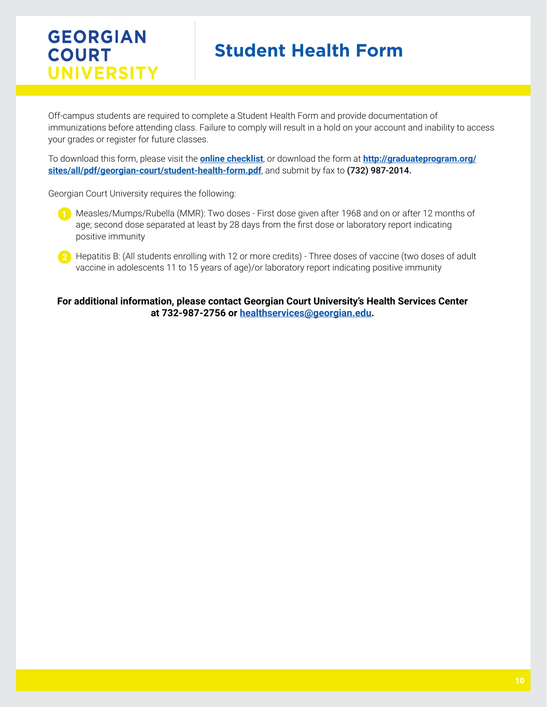# **Student Health Form**

Off-campus students are required to complete a Student Health Form and provide documentation of immunizations before attending class. Failure to comply will result in a hold on your account and inability to access your grades or register for future classes.

To download this form, please visit the **[online checklist](http://www.graduateprogram.org/georgian-court/application-checklist)**, or download the form at **[http://graduateprogram.org/](http://graduateprogram.org/sites/all/pdf/georgian-court/student-health-form.pdf) [sites/all/pdf/georgian-court/student-health-form.pdf](http://graduateprogram.org/sites/all/pdf/georgian-court/student-health-form.pdf)**, and submit by fax to (732) 987-2014.

Georgian Court University requires the following:

- **1** Measles/Mumps/Rubella (MMR): Two doses First dose given after 1968 and on or after 12 months of age; second dose separated at least by 28 days from the first dose or laboratory report indicating positive immunity
- **2** Hepatitis B: (All students enrolling with 12 or more credits) Three doses of vaccine (two doses of adult vaccine in adolescents 11 to 15 years of age)/or laboratory report indicating positive immunity

**For additional information, please contact Georgian Court University's Health Services Center at 732-987-2756 or [healthservices@georgian.edu.](mailto:healthservices%40georgian.edu?subject=)**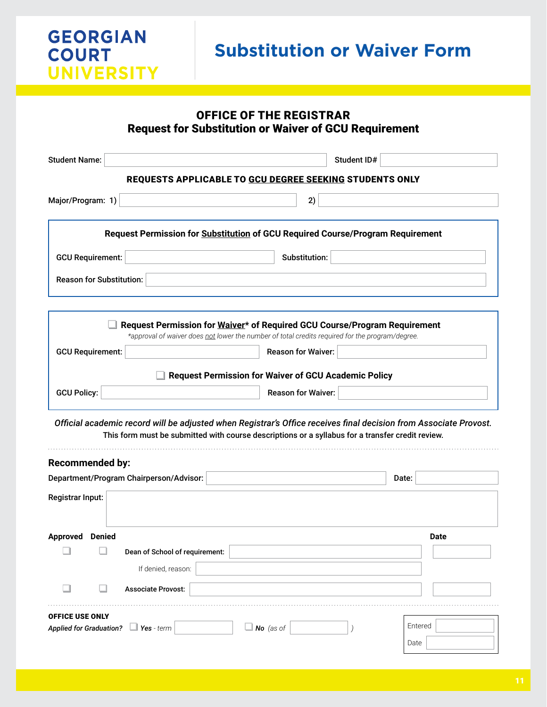

## OFFICE OF THE REGISTRAR Request for Substitution or Waiver of GCU Requirement Student Name: Student ID# REQUESTS APPLICABLE TO GCU DEGREE SEEKING STUDENTS ONLY Major/Program: 1) 2)

| Request Permission for Substitution of GCU Required Course/Program Requirement |               |  |  |  |  |
|--------------------------------------------------------------------------------|---------------|--|--|--|--|
|                                                                                |               |  |  |  |  |
| <b>GCU Requirement:</b>                                                        | Substitution: |  |  |  |  |
|                                                                                |               |  |  |  |  |
| Reason for Substitution:                                                       |               |  |  |  |  |
|                                                                                |               |  |  |  |  |
|                                                                                |               |  |  |  |  |

|                         | Request Permission for Waiver* of Required GCU Course/Program Requirement<br>*approval of waiver does not lower the number of total credits required for the program/degree. |  |
|-------------------------|------------------------------------------------------------------------------------------------------------------------------------------------------------------------------|--|
| <b>GCU Requirement:</b> | <b>Reason for Waiver:</b>                                                                                                                                                    |  |
|                         | <b>Request Permission for Waiver of GCU Academic Policy</b>                                                                                                                  |  |
| <b>GCU Policy:</b>      | <b>Reason for Waiver:</b>                                                                                                                                                    |  |
|                         |                                                                                                                                                                              |  |

*Official academic record will be adjusted when Registrar's Office receives final decision from Associate Provost.*  This form must be submitted with course descriptions or a syllabus for a transfer credit review.

| <b>Recommended by:</b>                          |             |
|-------------------------------------------------|-------------|
| Department/Program Chairperson/Advisor:         | Date:       |
| Registrar Input:                                |             |
| <b>Denied</b><br><b>Approved</b>                | <b>Date</b> |
| Dean of School of requirement:                  |             |
| If denied, reason:                              |             |
| <b>Associate Provost:</b>                       |             |
| <b>OFFICE USE ONLY</b>                          |             |
| Applied for Graduation? Ves - term<br>No (as of | Entered     |
|                                                 | Date        |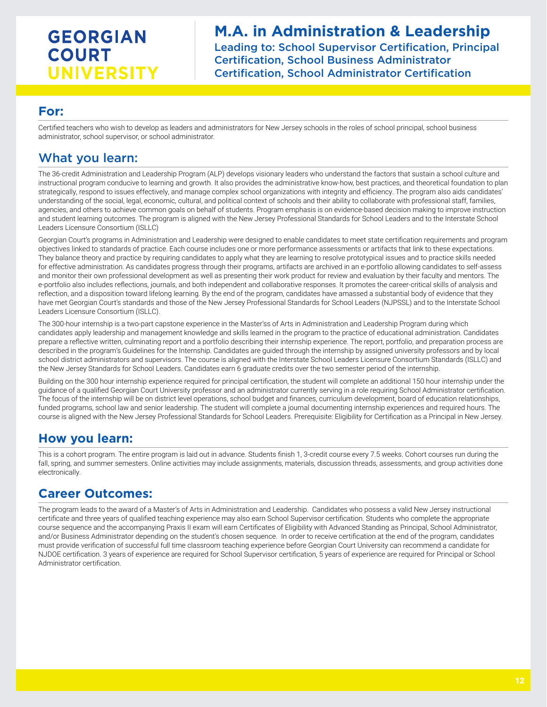## **M.A. in Administration & Leadership**

Leading to: School Supervisor Certification, Principal Certification, School Business Administrator Certification, School Administrator Certification

### **For:**

Certified teachers who wish to develop as leaders and administrators for New Jersey schools in the roles of school principal, school business administrator, school supervisor, or school administrator.

## What you learn:

The 36-credit Administration and Leadership Program (ALP) develops visionary leaders who understand the factors that sustain a school culture and instructional program conducive to learning and growth. It also provides the administrative know-how, best practices, and theoretical foundation to plan strategically, respond to issues effectively, and manage complex school organizations with integrity and efficiency. The program also aids candidates' understanding of the social, legal, economic, cultural, and political context of schools and their ability to collaborate with professional staff, families, agencies, and others to achieve common goals on behalf of students. Program emphasis is on evidence-based decision making to improve instruction and student learning outcomes. The program is aligned with the New Jersey Professional Standards for School Leaders and to the Interstate School Leaders Licensure Consortium (ISLLC)

Georgian Court's programs in Administration and Leadership were designed to enable candidates to meet state certification requirements and program objectives linked to standards of practice. Each course includes one or more performance assessments or artifacts that link to these expectations. They balance theory and practice by requiring candidates to apply what they are learning to resolve prototypical issues and to practice skills needed for effective administration. As candidates progress through their programs, artifacts are archived in an e-portfolio allowing candidates to self-assess and monitor their own professional development as well as presenting their work product for review and evaluation by their faculty and mentors. The e-portfolio also includes reflections, journals, and both independent and collaborative responses. It promotes the career-critical skills of analysis and reflection, and a disposition toward lifelong learning. By the end of the program, candidates have amassed a substantial body of evidence that they have met Georgian Court's standards and those of the New Jersey Professional Standards for School Leaders (NJPSSL) and to the Interstate School Leaders Licensure Consortium (ISLLC).

The 300-hour internship is a two-part capstone experience in the Master'ss of Arts in Administration and Leadership Program during which candidates apply leadership and management knowledge and skills learned in the program to the practice of educational administration. Candidates prepare a reflective written, culminating report and a portfolio describing their internship experience. The report, portfolio, and preparation process are described in the program's Guidelines for the Internship. Candidates are guided through the internship by assigned university professors and by local school district administrators and supervisors. The course is aligned with the Interstate School Leaders Licensure Consortium Standards (ISLLC) and the New Jersey Standards for School Leaders. Candidates earn 6 graduate credits over the two semester period of the internship.

Building on the 300 hour internship experience required for principal certification, the student will complete an additional 150 hour internship under the guidance of a qualified Georgian Court University professor and an administrator currently serving in a role requiring School Administrator certification. The focus of the internship will be on district level operations, school budget and finances, curriculum development, board of education relationships, funded programs, school law and senior leadership. The student will complete a journal documenting internship experiences and required hours. The course is aligned with the New Jersey Professional Standards for School Leaders. Prerequisite: Eligibility for Certification as a Principal in New Jersey.

## **How you learn:**

This is a cohort program. The entire program is laid out in advance. Students finish 1, 3-credit course every 7.5 weeks. Cohort courses run during the fall, spring, and summer semesters. Online activities may include assignments, materials, discussion threads, assessments, and group activities done electronically.

## **Career Outcomes:**

The program leads to the award of a Master's of Arts in Administration and Leadership. Candidates who possess a valid New Jersey instructional certificate and three years of qualified teaching experience may also earn School Supervisor certification. Students who complete the appropriate course sequence and the accompanying Praxis II exam will earn Certificates of Eligibility with Advanced Standing as Principal, School Administrator, and/or Business Administrator depending on the student's chosen sequence. In order to receive certification at the end of the program, candidates must provide verification of successful full time classroom teaching experience before Georgian Court University can recommend a candidate for NJDOE certification. 3 years of experience are required for School Supervisor certification, 5 years of experience are required for Principal or School Administrator certification.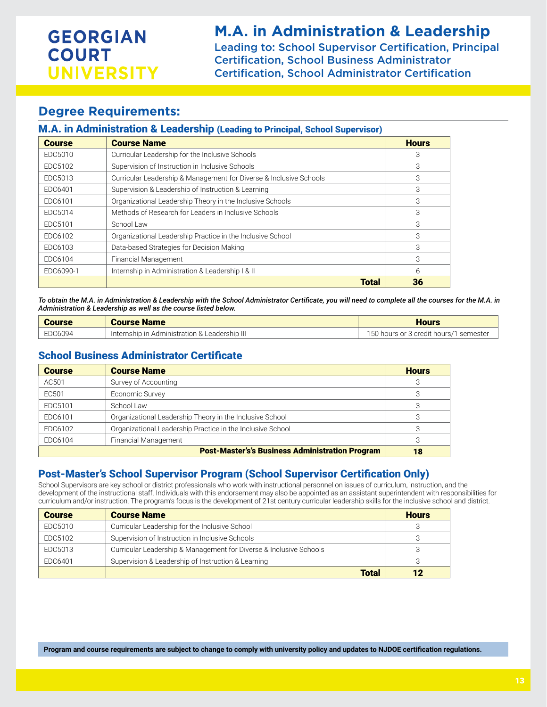## **M.A. in Administration & Leadership**

Leading to: School Supervisor Certification, Principal Certification, School Business Administrator Certification, School Administrator Certification

### **Degree Requirements:**

#### M.A. in Administration & Leadership (Leading to Principal, School Supervisor)

| <b>Course</b> | <b>Course Name</b>                                                 | <b>Hours</b> |
|---------------|--------------------------------------------------------------------|--------------|
| EDC5010       | Curricular Leadership for the Inclusive Schools                    | З            |
| EDC5102       | Supervision of Instruction in Inclusive Schools                    | 3            |
| EDC5013       | Curricular Leadership & Management for Diverse & Inclusive Schools | 3            |
| EDC6401       | Supervision & Leadership of Instruction & Learning                 | 3            |
| EDC6101       | Organizational Leadership Theory in the Inclusive Schools          | 3            |
| EDC5014       | Methods of Research for Leaders in Inclusive Schools               | 3            |
| EDC5101       | School Law                                                         | 3            |
| EDC6102       | Organizational Leadership Practice in the Inclusive School         | 3            |
| EDC6103       | Data-based Strategies for Decision Making                          | 3            |
| EDC6104       | Financial Management                                               | 3            |
| EDC6090-1     | Internship in Administration & Leadership I & II                   | 6            |
|               | <b>Total</b>                                                       | 36           |

*To obtain the M.A. in Administration & Leadership with the School Administrator Certificate, you will need to complete all the courses for the M.A. in Administration & Leadership as well as the course listed below.*

| <b>Course</b> | <b>Course Name</b>                            | <b>Hours</b>                           |
|---------------|-----------------------------------------------|----------------------------------------|
| EDC6094       | Internship in Administration & Leadership III | 150 hours or 3 credit hours/1 semester |

### School Business Administrator Certificate

| <b>Course</b> | <b>Course Name</b>                                         | <b>Hours</b> |
|---------------|------------------------------------------------------------|--------------|
| AC501         | Survey of Accounting                                       |              |
| EC501         | Economic Survey                                            |              |
| EDC5101       | School Law                                                 | 3            |
| EDC6101       | Organizational Leadership Theory in the Inclusive School   |              |
| EDC6102       | Organizational Leadership Practice in the Inclusive School |              |
| EDC6104       | Financial Management                                       | 3            |
|               | <b>Post-Master's's Business Administration Program</b>     | 18           |

### Post-Master's School Supervisor Program (School Supervisor Certification Only)

School Supervisors are key school or district professionals who work with instructional personnel on issues of curriculum, instruction, and the development of the instructional staff. Individuals with this endorsement may also be appointed as an assistant superintendent with responsibilities for curriculum and/or instruction. The program's focus is the development of 21st century curricular leadership skills for the inclusive school and district.

| <b>Course</b> | <b>Course Name</b>                                                 | <b>Hours</b> |
|---------------|--------------------------------------------------------------------|--------------|
| EDC5010       | Curricular Leadership for the Inclusive School                     |              |
| EDC5102       | Supervision of Instruction in Inclusive Schools                    |              |
| EDC5013       | Curricular Leadership & Management for Diverse & Inclusive Schools |              |
| EDC6401       | Supervision & Leadership of Instruction & Learning                 |              |
|               | <b>Total</b>                                                       |              |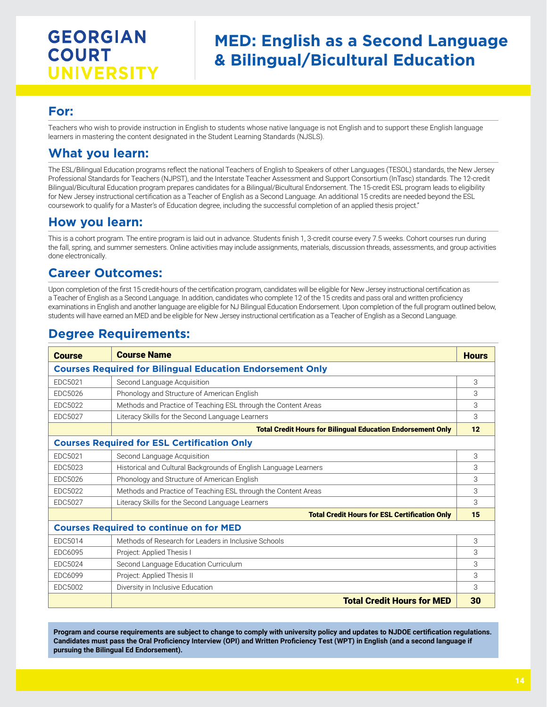## **MED: English as a Second Language & Bilingual/Bicultural Education**

### **For:**

Teachers who wish to provide instruction in English to students whose native language is not English and to support these English language learners in mastering the content designated in the Student Learning Standards (NJSLS).

### **What you learn:**

The ESL/Bilingual Education programs reflect the national Teachers of English to Speakers of other Languages (TESOL) standards, the New Jersey Professional Standards for Teachers (NJPST), and the Interstate Teacher Assessment and Support Consortium (InTasc) standards. The 12-credit Bilingual/Bicultural Education program prepares candidates for a Bilingual/Bicultural Endorsement. The 15-credit ESL program leads to eligibility for New Jersey instructional certification as a Teacher of English as a Second Language. An additional 15 credits are needed beyond the ESL coursework to qualify for a Master's of Education degree, including the successful completion of an applied thesis project."

## **How you learn:**

This is a cohort program. The entire program is laid out in advance. Students finish 1, 3-credit course every 7.5 weeks. Cohort courses run during the fall, spring, and summer semesters. Online activities may include assignments, materials, discussion threads, assessments, and group activities done electronically.

## **Career Outcomes:**

Upon completion of the first 15 credit-hours of the certification program, candidates will be eligible for New Jersey instructional certification as a Teacher of English as a Second Language. In addition, candidates who complete 12 of the 15 credits and pass oral and written proficiency examinations in English and another language are eligible for NJ Bilingual Education Endorsement. Upon completion of the full program outlined below, students will have earned an MED and be eligible for New Jersey instructional certification as a Teacher of English as a Second Language.

## **Degree Requirements:**

| <b>Course</b>                                                    | <b>Course Name</b>                                                 | <b>Hours</b> |  |
|------------------------------------------------------------------|--------------------------------------------------------------------|--------------|--|
| <b>Courses Required for Bilingual Education Endorsement Only</b> |                                                                    |              |  |
| EDC5021                                                          | Second Language Acquisition                                        | 3            |  |
| <b>EDC5026</b>                                                   | Phonology and Structure of American English                        | 3            |  |
| <b>EDC5022</b>                                                   | Methods and Practice of Teaching ESL through the Content Areas     | 3            |  |
| EDC5027                                                          | Literacy Skills for the Second Language Learners                   | 3            |  |
|                                                                  | <b>Total Credit Hours for Bilingual Education Endorsement Only</b> | 12           |  |
| <b>Courses Required for ESL Certification Only</b>               |                                                                    |              |  |
| EDC5021                                                          | Second Language Acquisition                                        | 3            |  |
| EDC5023                                                          | Historical and Cultural Backgrounds of English Language Learners   | 3            |  |
| EDC5026                                                          | Phonology and Structure of American English                        | 3            |  |
| EDC5022                                                          | Methods and Practice of Teaching ESL through the Content Areas     | 3            |  |
| EDC5027                                                          | Literacy Skills for the Second Language Learners                   | 3            |  |
|                                                                  | <b>Total Credit Hours for ESL Certification Only</b>               | 15           |  |
| <b>Courses Required to continue on for MED</b>                   |                                                                    |              |  |
| EDC5014                                                          | Methods of Research for Leaders in Inclusive Schools               | 3            |  |
| EDC6095                                                          | Project: Applied Thesis I                                          | 3            |  |
| EDC5024                                                          | Second Language Education Curriculum                               | 3            |  |
| <b>EDC6099</b>                                                   | Project: Applied Thesis II                                         | 3            |  |
| EDC5002                                                          | Diversity in Inclusive Education                                   | 3            |  |
|                                                                  | <b>Total Credit Hours for MED</b>                                  | 30           |  |

**Program and course requirements are subject to change to comply with university policy and updates to NJDOE certification regulations. Candidates must pass the Oral Proficiency Interview (OPI) and Written Proficiency Test (WPT) in English (and a second language if pursuing the Bilingual Ed Endorsement).**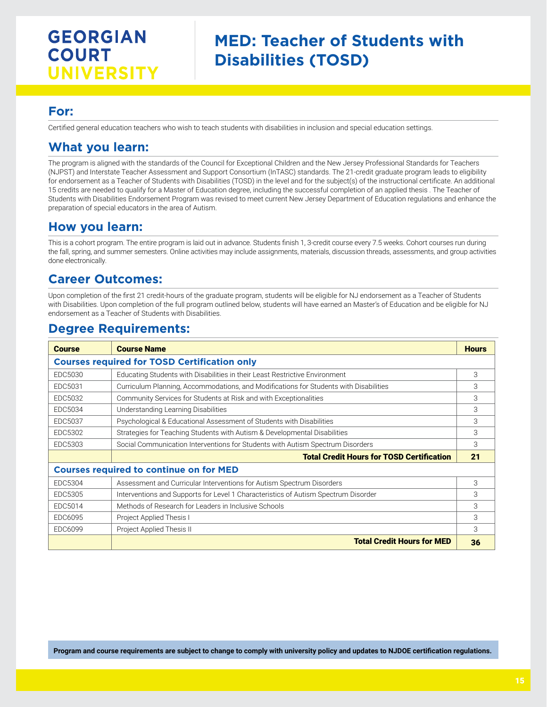## **MED: Teacher of Students with Disabilities (TOSD)**

### **For:**

Certified general education teachers who wish to teach students with disabilities in inclusion and special education settings.

### **What you learn:**

The program is aligned with the standards of the Council for Exceptional Children and the New Jersey Professional Standards for Teachers (NJPST) and Interstate Teacher Assessment and Support Consortium (InTASC) standards. The 21-credit graduate program leads to eligibility for endorsement as a Teacher of Students with Disabilities (TOSD) in the level and for the subject(s) of the instructional certificate. An additional 15 credits are needed to qualify for a Master of Education degree, including the successful completion of an applied thesis . The Teacher of Students with Disabilities Endorsement Program was revised to meet current New Jersey Department of Education regulations and enhance the preparation of special educators in the area of Autism.

### **How you learn:**

This is a cohort program. The entire program is laid out in advance. Students finish 1, 3-credit course every 7.5 weeks. Cohort courses run during the fall, spring, and summer semesters. Online activities may include assignments, materials, discussion threads, assessments, and group activities done electronically.

## **Career Outcomes:**

Upon completion of the first 21 credit-hours of the graduate program, students will be eligible for NJ endorsement as a Teacher of Students with Disabilities. Upon completion of the full program outlined below, students will have earned an Master's of Education and be eligible for NJ endorsement as a Teacher of Students with Disabilities.

### **Degree Requirements:**

| <b>Course</b>                                  | <b>Course Name</b>                                                                    | <b>Hours</b> |
|------------------------------------------------|---------------------------------------------------------------------------------------|--------------|
|                                                |                                                                                       |              |
|                                                | <b>Courses required for TOSD Certification only</b>                                   |              |
| EDC5030                                        | Educating Students with Disabilities in their Least Restrictive Environment           | 3            |
| EDC5031                                        | Curriculum Planning, Accommodations, and Modifications for Students with Disabilities | 3            |
| EDC5032                                        | Community Services for Students at Risk and with Exceptionalities                     | 3            |
| EDC5034                                        | Understanding Learning Disabilities                                                   | 3            |
| EDC5037                                        | Psychological & Educational Assessment of Students with Disabilities                  | 3            |
| EDC5302                                        | Strategies for Teaching Students with Autism & Developmental Disabilities             | 3            |
| EDC5303                                        | Social Communication Interventions for Students with Autism Spectrum Disorders        | 3            |
|                                                | <b>Total Credit Hours for TOSD Certification</b>                                      | 21           |
| <b>Courses required to continue on for MED</b> |                                                                                       |              |
| EDC5304                                        | Assessment and Curricular Interventions for Autism Spectrum Disorders                 | 3            |
| EDC5305                                        | Interventions and Supports for Level 1 Characteristics of Autism Spectrum Disorder    | 3            |
| EDC5014                                        | Methods of Research for Leaders in Inclusive Schools                                  | 3            |
| EDC6095                                        | Project Applied Thesis I                                                              | 3            |
| EDC6099                                        | Project Applied Thesis II                                                             | 3            |
|                                                | <b>Total Credit Hours for MED</b>                                                     | 36           |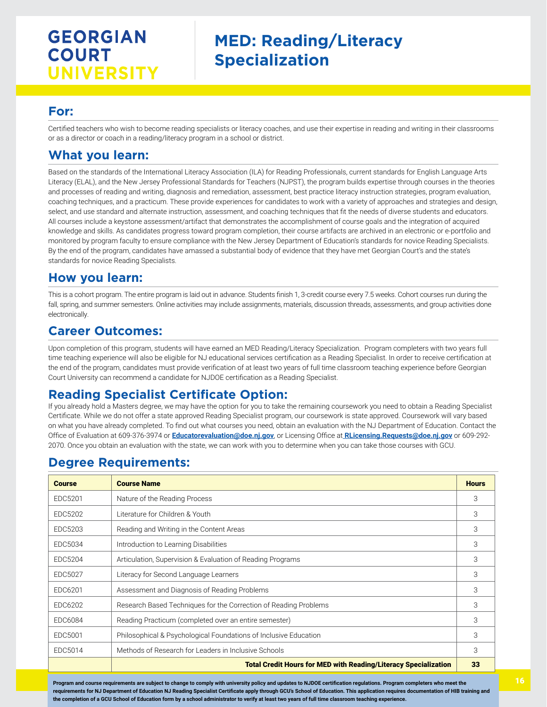## **MED: Reading/Literacy Specialization**

### **For:**

Certified teachers who wish to become reading specialists or literacy coaches, and use their expertise in reading and writing in their classrooms or as a director or coach in a reading/literacy program in a school or district.

## **What you learn:**

Based on the standards of the International Literacy Association (ILA) for Reading Professionals, current standards for English Language Arts Literacy (ELAL), and the New Jersey Professional Standards for Teachers (NJPST), the program builds expertise through courses in the theories and processes of reading and writing, diagnosis and remediation, assessment, best practice literacy instruction strategies, program evaluation, coaching techniques, and a practicum. These provide experiences for candidates to work with a variety of approaches and strategies and design, select, and use standard and alternate instruction, assessment, and coaching techniques that fit the needs of diverse students and educators. All courses include a keystone assessment/artifact that demonstrates the accomplishment of course goals and the integration of acquired knowledge and skills. As candidates progress toward program completion, their course artifacts are archived in an electronic or e-portfolio and monitored by program faculty to ensure compliance with the New Jersey Department of Education's standards for novice Reading Specialists. By the end of the program, candidates have amassed a substantial body of evidence that they have met Georgian Court's and the state's standards for novice Reading Specialists.

### **How you learn:**

This is a cohort program. The entire program is laid out in advance. Students finish 1, 3-credit course every 7.5 weeks. Cohort courses run during the fall, spring, and summer semesters. Online activities may include assignments, materials, discussion threads, assessments, and group activities done electronically.

### **Career Outcomes:**

Upon completion of this program, students will have earned an MED Reading/Literacy Specialization. Program completers with two years full time teaching experience will also be eligible for NJ educational services certification as a Reading Specialist. In order to receive certification at the end of the program, candidates must provide verification of at least two years of full time classroom teaching experience before Georgian Court University can recommend a candidate for NJDOE certification as a Reading Specialist.

### **Reading Specialist Certificate Option:**

If you already hold a Masters degree, we may have the option for you to take the remaining coursework you need to obtain a Reading Specialist Certificate. While we do not offer a state approved Reading Specialist program, our coursework is state approved. Coursework will vary based on what you have already completed. To find out what courses you need, obtain an evaluation with the NJ Department of Education. Contact the Office of Evaluation at 609-376-3974 or **[Educatorevaluation@doe.nj.gov](mailto:Educatorevaluation%40doe.nj.gov?subject=)**, or Licensing Office at **[RLicensing.Requests@doe.nj.gov](mailto:%20RLicensing.Requests%40doe.nj.gov?subject=)** or 609-292- 2070. Once you obtain an evaluation with the state, we can work with you to determine when you can take those courses with GCU.

## **Degree Requirements:**

| <b>Course</b> | <b>Course Name</b>                                                     | <b>Hours</b> |
|---------------|------------------------------------------------------------------------|--------------|
| EDC5201       | Nature of the Reading Process                                          | 3            |
| EDC5202       | Literature for Children & Youth                                        | 3            |
| EDC5203       | Reading and Writing in the Content Areas                               | 3            |
| EDC5034       | Introduction to Learning Disabilities                                  | 3            |
| EDC5204       | Articulation, Supervision & Evaluation of Reading Programs             | 3            |
| EDC5027       | Literacy for Second Language Learners                                  | 3            |
| EDC6201       | Assessment and Diagnosis of Reading Problems                           | 3            |
| EDC6202       | Research Based Techniques for the Correction of Reading Problems       | 3            |
| EDC6084       | Reading Practicum (completed over an entire semester)                  | 3            |
| EDC5001       | Philosophical & Psychological Foundations of Inclusive Education       | 3            |
| EDC5014       | Methods of Research for Leaders in Inclusive Schools                   | 3            |
|               | <b>Total Credit Hours for MED with Reading/Literacy Specialization</b> | 33           |

**Program and course requirements are subject to change to comply with university policy and updates to NJDOE certification regulations. Program completers who meet the requirements for NJ Department of Education NJ Reading Specialist Certificate apply through GCU's School of Education. This application requires documentation of HIB training and the completion of a GCU School of Education form by a school administrator to verify at least two years of full time classroom teaching experience.**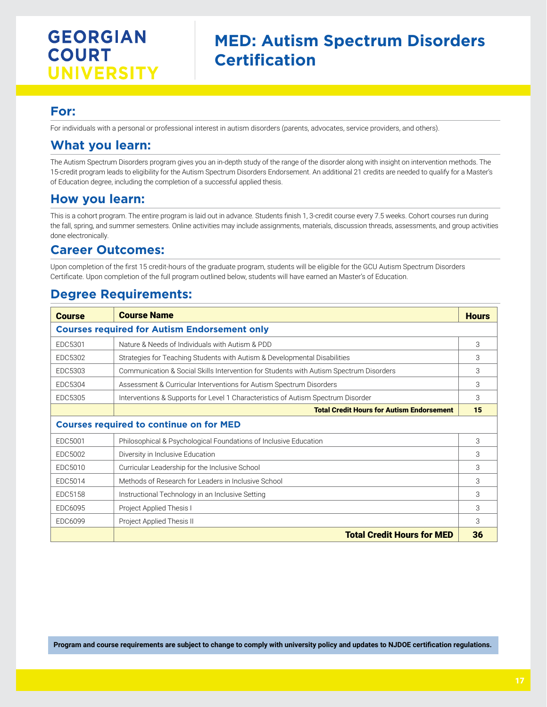## **MED: Autism Spectrum Disorders Certification**

## **For:**

For individuals with a personal or professional interest in autism disorders (parents, advocates, service providers, and others).

## **What you learn:**

The Autism Spectrum Disorders program gives you an in-depth study of the range of the disorder along with insight on intervention methods. The 15-credit program leads to eligibility for the Autism Spectrum Disorders Endorsement. An additional 21 credits are needed to qualify for a Master's of Education degree, including the completion of a successful applied thesis.

### **How you learn:**

This is a cohort program. The entire program is laid out in advance. Students finish 1, 3-credit course every 7.5 weeks. Cohort courses run during the fall, spring, and summer semesters. Online activities may include assignments, materials, discussion threads, assessments, and group activities done electronically.

### **Career Outcomes:**

Upon completion of the first 15 credit-hours of the graduate program, students will be eligible for the GCU Autism Spectrum Disorders Certificate. Upon completion of the full program outlined below, students will have earned an Master's of Education.

## **Degree Requirements:**

| <b>Course</b>                                  | <b>Course Name</b>                                                                     | <b>Hours</b> |  |  |
|------------------------------------------------|----------------------------------------------------------------------------------------|--------------|--|--|
|                                                | <b>Courses required for Autism Endorsement only</b>                                    |              |  |  |
| EDC5301                                        | Nature & Needs of Individuals with Autism & PDD                                        | 3            |  |  |
| EDC5302                                        | Strategies for Teaching Students with Autism & Developmental Disabilities              | 3            |  |  |
| EDC5303                                        | Communication & Social Skills Intervention for Students with Autism Spectrum Disorders | 3            |  |  |
| EDC5304                                        | Assessment & Curricular Interventions for Autism Spectrum Disorders                    | 3            |  |  |
| EDC5305                                        | Interventions & Supports for Level 1 Characteristics of Autism Spectrum Disorder       | 3            |  |  |
|                                                | <b>Total Credit Hours for Autism Endorsement</b>                                       | 15           |  |  |
| <b>Courses required to continue on for MED</b> |                                                                                        |              |  |  |
| EDC5001                                        | Philosophical & Psychological Foundations of Inclusive Education                       | 3            |  |  |
| EDC5002                                        | Diversity in Inclusive Education                                                       | 3            |  |  |
| EDC5010                                        | Curricular Leadership for the Inclusive School                                         | 3            |  |  |
| EDC5014                                        | Methods of Research for Leaders in Inclusive School                                    | 3            |  |  |
| EDC5158                                        | Instructional Technology in an Inclusive Setting                                       | 3            |  |  |
| EDC6095                                        | Project Applied Thesis I                                                               | 3            |  |  |
| EDC6099                                        | Project Applied Thesis II                                                              | 3            |  |  |
|                                                | <b>Total Credit Hours for MED</b>                                                      | 36           |  |  |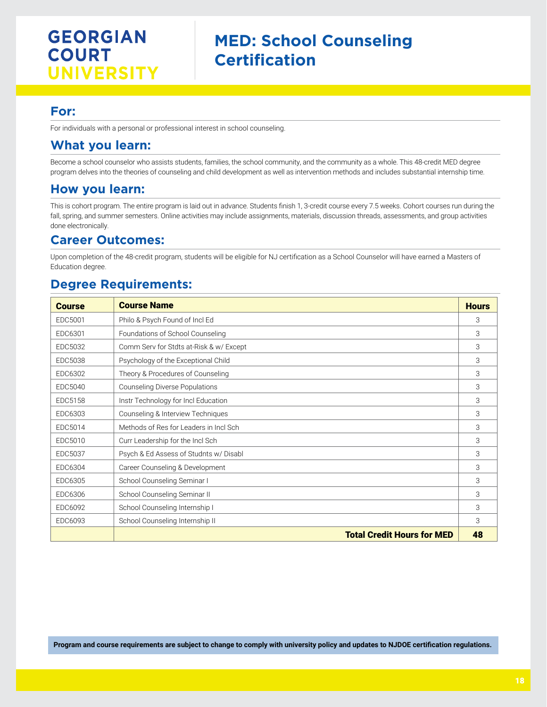### **For:**

For individuals with a personal or professional interest in school counseling.

### **What you learn:**

Become a school counselor who assists students, families, the school community, and the community as a whole. This 48-credit MED degree program delves into the theories of counseling and child development as well as intervention methods and includes substantial internship time.

### **How you learn:**

This is cohort program. The entire program is laid out in advance. Students finish 1, 3-credit course every 7.5 weeks. Cohort courses run during the fall, spring, and summer semesters. Online activities may include assignments, materials, discussion threads, assessments, and group activities done electronically.

### **Career Outcomes:**

Upon completion of the 48-credit program, students will be eligible for NJ certification as a School Counselor will have earned a Masters of Education degree.

### **Degree Requirements:**

| <b>Course</b> | <b>Course Name</b>                      | <b>Hours</b> |
|---------------|-----------------------------------------|--------------|
| EDC5001       | Philo & Psych Found of Incl Ed          | 3            |
| EDC6301       | Foundations of School Counseling        | 3            |
| EDC5032       | Comm Serv for Stdts at-Risk & w/ Except | 3            |
| EDC5038       | Psychology of the Exceptional Child     | 3            |
| EDC6302       | Theory & Procedures of Counseling       | 3            |
| EDC5040       | <b>Counseling Diverse Populations</b>   | 3            |
| EDC5158       | Instr Technology for Incl Education     | 3            |
| EDC6303       | Counseling & Interview Techniques       | 3            |
| EDC5014       | Methods of Res for Leaders in Incl Sch  | 3            |
| EDC5010       | Curr Leadership for the Incl Sch        | 3            |
| EDC5037       | Psych & Ed Assess of Studnts w/Disabl   | 3            |
| EDC6304       | Career Counseling & Development         | 3            |
| EDC6305       | School Counseling Seminar I             | 3            |
| EDC6306       | School Counseling Seminar II            | 3            |
| EDC6092       | School Counseling Internship I          | 3            |
| EDC6093       | School Counseling Internship II         | 3            |
|               | <b>Total Credit Hours for MED</b>       | 48           |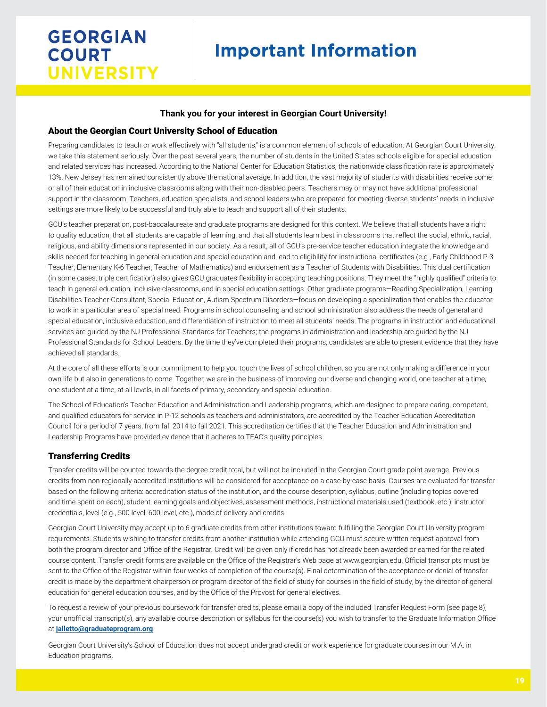# **Important Information**

#### **Thank you for your interest in Georgian Court University!**

#### About the Georgian Court University School of Education

Preparing candidates to teach or work effectively with "all students," is a common element of schools of education. At Georgian Court University, we take this statement seriously. Over the past several years, the number of students in the United States schools eligible for special education and related services has increased. According to the National Center for Education Statistics, the nationwide classification rate is approximately 13%. New Jersey has remained consistently above the national average. In addition, the vast majority of students with disabilities receive some or all of their education in inclusive classrooms along with their non-disabled peers. Teachers may or may not have additional professional support in the classroom. Teachers, education specialists, and school leaders who are prepared for meeting diverse students' needs in inclusive settings are more likely to be successful and truly able to teach and support all of their students.

GCU's teacher preparation, post-baccalaureate and graduate programs are designed for this context. We believe that all students have a right to quality education; that all students are capable of learning, and that all students learn best in classrooms that reflect the social, ethnic, racial, religious, and ability dimensions represented in our society. As a result, all of GCU's pre-service teacher education integrate the knowledge and skills needed for teaching in general education and special education and lead to eligibility for instructional certificates (e.g., Early Childhood P-3 Teacher; Elementary K-6 Teacher; Teacher of Mathematics) and endorsement as a Teacher of Students with Disabilities. This dual certification (in some cases, triple certification) also gives GCU graduates flexibility in accepting teaching positions: They meet the "highly qualified" criteria to teach in general education, inclusive classrooms, and in special education settings. Other graduate programs—Reading Specialization, Learning Disabilities Teacher-Consultant, Special Education, Autism Spectrum Disorders—focus on developing a specialization that enables the educator to work in a particular area of special need. Programs in school counseling and school administration also address the needs of general and special education, inclusive education, and differentiation of instruction to meet all students' needs. The programs in instruction and educational services are guided by the NJ Professional Standards for Teachers; the programs in administration and leadership are guided by the NJ Professional Standards for School Leaders. By the time they've completed their programs, candidates are able to present evidence that they have achieved all standards.

At the core of all these efforts is our commitment to help you touch the lives of school children, so you are not only making a difference in your own life but also in generations to come. Together, we are in the business of improving our diverse and changing world, one teacher at a time, one student at a time, at all levels, in all facets of primary, secondary and special education.

The School of Education's Teacher Education and Administration and Leadership programs, which are designed to prepare caring, competent, and qualified educators for service in P-12 schools as teachers and administrators, are accredited by the Teacher Education Accreditation Council for a period of 7 years, from fall 2014 to fall 2021. This accreditation certifies that the Teacher Education and Administration and Leadership Programs have provided evidence that it adheres to TEAC's quality principles.

#### Transferring Credits

Transfer credits will be counted towards the degree credit total, but will not be included in the Georgian Court grade point average. Previous credits from non-regionally accredited institutions will be considered for acceptance on a case-by-case basis. Courses are evaluated for transfer based on the following criteria: accreditation status of the institution, and the course description, syllabus, outline (including topics covered and time spent on each), student learning goals and objectives, assessment methods, instructional materials used (textbook, etc.), instructor credentials, level (e.g., 500 level, 600 level, etc.), mode of delivery and credits.

Georgian Court University may accept up to 6 graduate credits from other institutions toward fulfilling the Georgian Court University program requirements. Students wishing to transfer credits from another institution while attending GCU must secure written request approval from both the program director and Office of the Registrar. Credit will be given only if credit has not already been awarded or earned for the related course content. Transfer credit forms are available on the Office of the Registrar's Web page at www.georgian.edu. Official transcripts must be sent to the Office of the Registrar within four weeks of completion of the course(s). Final determination of the acceptance or denial of transfer credit is made by the department chairperson or program director of the field of study for courses in the field of study, by the director of general education for general education courses, and by the Office of the Provost for general electives.

To request a review of your previous coursework for transfer credits, please email a copy of the included Transfer Request Form (see page 8), your unofficial transcript(s), any available course description or syllabus for the course(s) you wish to transfer to the Graduate Information Office at **jalletto@graduateprogram.org**.

Georgian Court University's School of Education does not accept undergrad credit or work experience for graduate courses in our M.A. in Education programs.